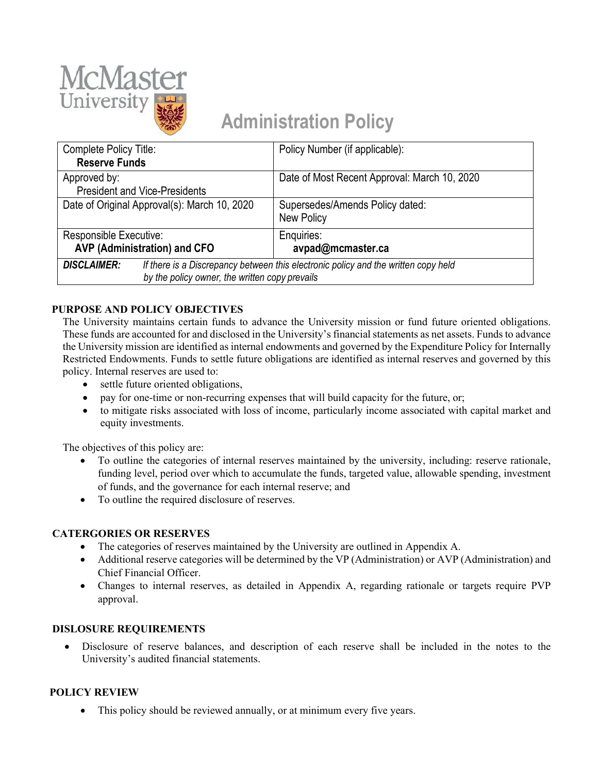

# **Administration Policy**

| Complete Policy Title:                         |                                                                                    | Policy Number (if applicable):               |  |  |
|------------------------------------------------|------------------------------------------------------------------------------------|----------------------------------------------|--|--|
| <b>Reserve Funds</b>                           |                                                                                    |                                              |  |  |
| Approved by:                                   |                                                                                    | Date of Most Recent Approval: March 10, 2020 |  |  |
| <b>President and Vice-Presidents</b>           |                                                                                    |                                              |  |  |
| Date of Original Approval(s): March 10, 2020   |                                                                                    | Supersedes/Amends Policy dated:              |  |  |
|                                                |                                                                                    | New Policy                                   |  |  |
| Responsible Executive:                         |                                                                                    | Enquiries:                                   |  |  |
| <b>AVP (Administration) and CFO</b>            |                                                                                    | avpad@mcmaster.ca                            |  |  |
| <b>DISCLAIMER:</b>                             | If there is a Discrepancy between this electronic policy and the written copy held |                                              |  |  |
| by the policy owner, the written copy prevails |                                                                                    |                                              |  |  |

# **PURPOSE AND POLICY OBJECTIVES**

The University maintains certain funds to advance the University mission or fund future oriented obligations. These funds are accounted for and disclosed in the University's financial statements as net assets. Funds to advance the University mission are identified as internal endowments and governed by the Expenditure Policy for Internally Restricted Endowments. Funds to settle future obligations are identified as internal reserves and governed by this policy. Internal reserves are used to:

- settle future oriented obligations,
- pay for one-time or non-recurring expenses that will build capacity for the future, or;
- to mitigate risks associated with loss of income, particularly income associated with capital market and equity investments.

The objectives of this policy are:

- To outline the categories of internal reserves maintained by the university, including: reserve rationale, funding level, period over which to accumulate the funds, targeted value, allowable spending, investment of funds, and the governance for each internal reserve; and
- To outline the required disclosure of reserves.

### **CATERGORIES OR RESERVES**

- The categories of reserves maintained by the University are outlined in Appendix A.
- Additional reserve categories will be determined by the VP (Administration) or AVP (Administration) and Chief Financial Officer.
- Changes to internal reserves, as detailed in Appendix A, regarding rationale or targets require PVP approval.

### **DISLOSURE REQUIREMENTS**

• Disclosure of reserve balances, and description of each reserve shall be included in the notes to the University's audited financial statements.

# **POLICY REVIEW**

• This policy should be reviewed annually, or at minimum every five years.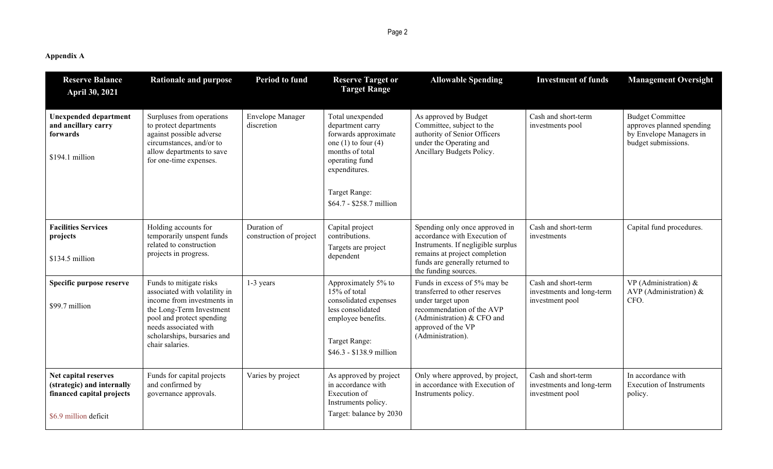**Appendix A**

| <b>Reserve Balance</b><br>April 30, 2021                                                                 | <b>Rationale and purpose</b>                                                                                                                                                                                               | Period to fund                         | <b>Reserve Target or</b><br><b>Target Range</b>                                                                                                      | <b>Allowable Spending</b>                                                                                                                                                                        | <b>Investment of funds</b>                                          | <b>Management Oversight</b>                                                                            |
|----------------------------------------------------------------------------------------------------------|----------------------------------------------------------------------------------------------------------------------------------------------------------------------------------------------------------------------------|----------------------------------------|------------------------------------------------------------------------------------------------------------------------------------------------------|--------------------------------------------------------------------------------------------------------------------------------------------------------------------------------------------------|---------------------------------------------------------------------|--------------------------------------------------------------------------------------------------------|
| <b>Unexpended department</b><br>and ancillary carry<br>forwards<br>\$194.1 million                       | Surpluses from operations<br>to protect departments<br>against possible adverse<br>circumstances, and/or to<br>allow departments to save<br>for one-time expenses.                                                         | <b>Envelope Manager</b><br>discretion  | Total unexpended<br>department carry<br>forwards approximate<br>one $(1)$ to four $(4)$<br>months of total<br>operating fund<br>expenditures.        | As approved by Budget<br>Committee, subject to the<br>authority of Senior Officers<br>under the Operating and<br>Ancillary Budgets Policy.                                                       | Cash and short-term<br>investments pool                             | <b>Budget Committee</b><br>approves planned spending<br>by Envelope Managers in<br>budget submissions. |
|                                                                                                          |                                                                                                                                                                                                                            |                                        | Target Range:<br>\$64.7 - \$258.7 million                                                                                                            |                                                                                                                                                                                                  |                                                                     |                                                                                                        |
| <b>Facilities Services</b><br>projects<br>\$134.5 million                                                | Holding accounts for<br>temporarily unspent funds<br>related to construction<br>projects in progress.                                                                                                                      | Duration of<br>construction of project | Capital project<br>contributions.<br>Targets are project<br>dependent                                                                                | Spending only once approved in<br>accordance with Execution of<br>Instruments. If negligible surplus<br>remains at project completion<br>funds are generally returned to<br>the funding sources. | Cash and short-term<br>investments                                  | Capital fund procedures.                                                                               |
| Specific purpose reserve<br>\$99.7 million                                                               | Funds to mitigate risks<br>associated with volatility in<br>income from investments in<br>the Long-Term Investment<br>pool and protect spending<br>needs associated with<br>scholarships, bursaries and<br>chair salaries. | 1-3 years                              | Approximately 5% to<br>15% of total<br>consolidated expenses<br>less consolidated<br>employee benefits.<br>Target Range:<br>\$46.3 - \$138.9 million | Funds in excess of 5% may be<br>transferred to other reserves<br>under target upon<br>recommendation of the AVP<br>(Administration) & CFO and<br>approved of the VP<br>(Administration).         | Cash and short-term<br>investments and long-term<br>investment pool | VP (Administration) $\&$<br>AVP (Administration) $\&$<br>CFO.                                          |
| Net capital reserves<br>(strategic) and internally<br>financed capital projects<br>\$6.9 million deficit | Funds for capital projects<br>and confirmed by<br>governance approvals.                                                                                                                                                    | Varies by project                      | As approved by project<br>in accordance with<br>Execution of<br>Instruments policy.<br>Target: balance by 2030                                       | Only where approved, by project,<br>in accordance with Execution of<br>Instruments policy.                                                                                                       | Cash and short-term<br>investments and long-term<br>investment pool | In accordance with<br><b>Execution of Instruments</b><br>policy.                                       |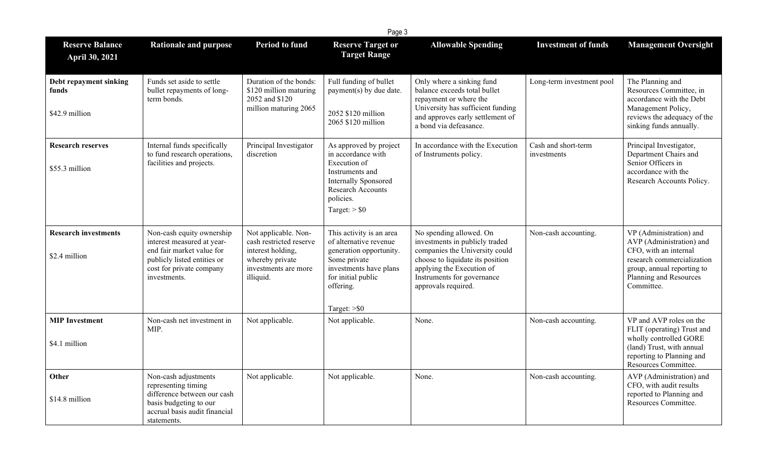|                                                   | Page 3                                                                                                                                                          |                                                                                                                              |                                                                                                                                                                               |                                                                                                                                                                                                                   |                                    |                                                                                                                                                                                  |  |
|---------------------------------------------------|-----------------------------------------------------------------------------------------------------------------------------------------------------------------|------------------------------------------------------------------------------------------------------------------------------|-------------------------------------------------------------------------------------------------------------------------------------------------------------------------------|-------------------------------------------------------------------------------------------------------------------------------------------------------------------------------------------------------------------|------------------------------------|----------------------------------------------------------------------------------------------------------------------------------------------------------------------------------|--|
| <b>Reserve Balance</b><br>April 30, 2021          | <b>Rationale and purpose</b>                                                                                                                                    | <b>Period to fund</b>                                                                                                        | <b>Reserve Target or</b><br><b>Target Range</b>                                                                                                                               | <b>Allowable Spending</b>                                                                                                                                                                                         | <b>Investment of funds</b>         | <b>Management Oversight</b>                                                                                                                                                      |  |
| Debt repayment sinking<br>funds<br>\$42.9 million | Funds set aside to settle<br>bullet repayments of long-<br>term bonds.                                                                                          | Duration of the bonds:<br>\$120 million maturing<br>2052 and \$120<br>million maturing 2065                                  | Full funding of bullet<br>payment(s) by due date.<br>2052 \$120 million<br>2065 \$120 million                                                                                 | Only where a sinking fund<br>balance exceeds total bullet<br>repayment or where the<br>University has sufficient funding<br>and approves early settlement of<br>a bond via defeasance.                            | Long-term investment pool          | The Planning and<br>Resources Committee, in<br>accordance with the Debt<br>Management Policy,<br>reviews the adequacy of the<br>sinking funds annually.                          |  |
| <b>Research reserves</b><br>\$55.3 million        | Internal funds specifically<br>to fund research operations,<br>facilities and projects.                                                                         | Principal Investigator<br>discretion                                                                                         | As approved by project<br>in accordance with<br>Execution of<br>Instruments and<br>Internally Sponsored<br>Research Accounts<br>policies.<br>Target: $>$ \$0                  | In accordance with the Execution<br>of Instruments policy.                                                                                                                                                        | Cash and short-term<br>investments | Principal Investigator,<br>Department Chairs and<br>Senior Officers in<br>accordance with the<br>Research Accounts Policy.                                                       |  |
| <b>Research investments</b><br>\$2.4 million      | Non-cash equity ownership<br>interest measured at year-<br>end fair market value for<br>publicly listed entities or<br>cost for private company<br>investments. | Not applicable. Non-<br>cash restricted reserve<br>interest holding,<br>whereby private<br>investments are more<br>illiquid. | This activity is an area<br>of alternative revenue<br>generation opportunity.<br>Some private<br>investments have plans<br>for initial public<br>offering.<br>Target: $>$ \$0 | No spending allowed. On<br>investments in publicly traded<br>companies the University could<br>choose to liquidate its position<br>applying the Execution of<br>Instruments for governance<br>approvals required. | Non-cash accounting.               | VP (Administration) and<br>AVP (Administration) and<br>CFO, with an internal<br>research commercialization<br>group, annual reporting to<br>Planning and Resources<br>Committee. |  |
| <b>MIP Investment</b><br>\$4.1 million            | Non-cash net investment in<br>MIP.                                                                                                                              | Not applicable.                                                                                                              | Not applicable.                                                                                                                                                               | None.                                                                                                                                                                                                             | Non-cash accounting.               | VP and AVP roles on the<br>FLIT (operating) Trust and<br>wholly controlled GORE<br>(land) Trust, with annual<br>reporting to Planning and<br>Resources Committee.                |  |
| Other<br>\$14.8 million                           | Non-cash adjustments<br>representing timing<br>difference between our cash<br>basis budgeting to our<br>accrual basis audit financial<br>statements.            | Not applicable.                                                                                                              | Not applicable.                                                                                                                                                               | None.                                                                                                                                                                                                             | Non-cash accounting.               | AVP (Administration) and<br>CFO, with audit results<br>reported to Planning and<br>Resources Committee.                                                                          |  |